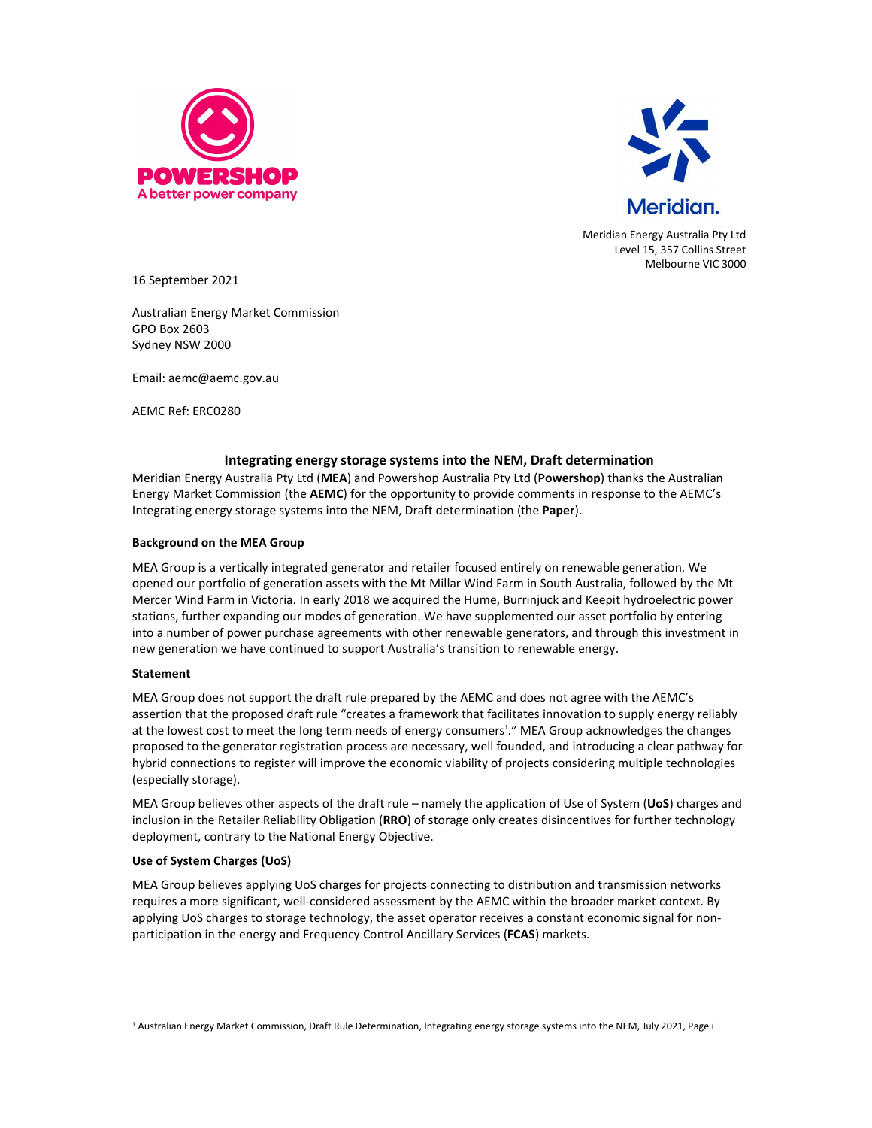



Meridian Energy Australia Pty Ltd Level 15, 357 Collins Street Melbourne VIC 3000

16 September 2021

Australian Energy Market Commission GPO Box 2603 Sydney NSW 2000

Email: aemc@aemc.gov.au

AEMC Ref: ERC0280

## Integrating energy storage systems into the NEM, Draft determination

Meridian Energy Australia Pty Ltd (MEA) and Powershop Australia Pty Ltd (Powershop) thanks the Australian Energy Market Commission (the AEMC) for the opportunity to provide comments in response to the AEMC's Integrating energy storage systems into the NEM, Draft determination (the Paper).

## Background on the MEA Group

MEA Group is a vertically integrated generator and retailer focused entirely on renewable generation. We opened our portfolio of generation assets with the Mt Millar Wind Farm in South Australia, followed by the Mt Mercer Wind Farm in Victoria. In early 2018 we acquired the Hume, Burrinjuck and Keepit hydroelectric power stations, further expanding our modes of generation. We have supplemented our asset portfolio by entering into a number of power purchase agreements with other renewable generators, and through this investment in new generation we have continued to support Australia's transition to renewable energy.

## Statement

MEA Group does not support the draft rule prepared by the AEMC and does not agree with the AEMC's assertion that the proposed draft rule "creates a framework that facilitates innovation to supply energy reliably at the lowest cost to meet the long term needs of energy consumers<sup>1</sup>." MEA Group acknowledges the changes proposed to the generator registration process are necessary, well founded, and introducing a clear pathway for hybrid connections to register will improve the economic viability of projects considering multiple technologies (especially storage).

MEA Group believes other aspects of the draft rule – namely the application of Use of System (UoS) charges and inclusion in the Retailer Reliability Obligation (RRO) of storage only creates disincentives for further technology deployment, contrary to the National Energy Objective.

## Use of System Charges (UoS)

MEA Group believes applying UoS charges for projects connecting to distribution and transmission networks requires a more significant, well-considered assessment by the AEMC within the broader market context. By applying UoS charges to storage technology, the asset operator receives a constant economic signal for nonparticipation in the energy and Frequency Control Ancillary Services (FCAS) markets.

<sup>&</sup>lt;sup>1</sup> Australian Energy Market Commission, Draft Rule Determination, Integrating energy storage systems into the NEM, July 2021, Page i